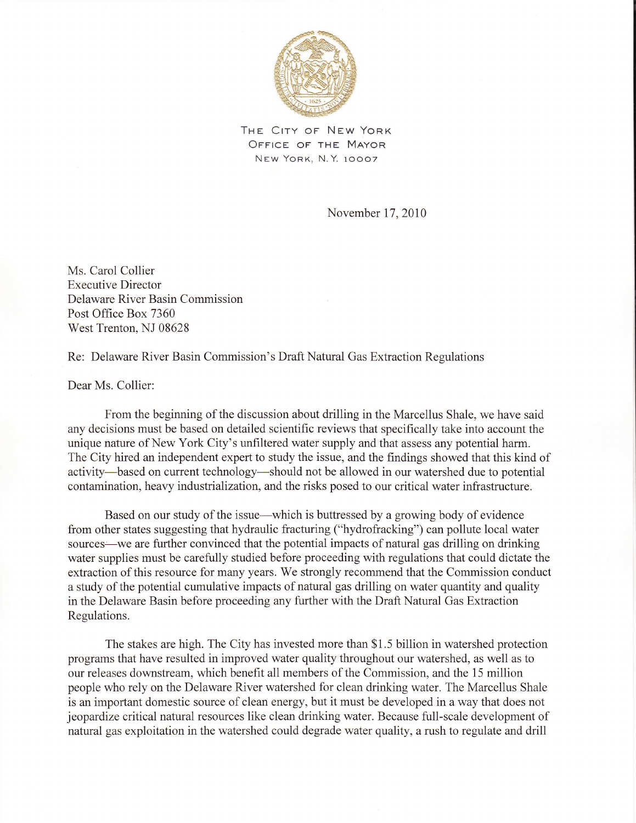

THE CITY OF NEW YORK OFFICE OF THE MAYOR NEW YORK, N.Y. 10007

November 17,2010

Ms. Carol Collier Executive Director Delaware River Basin Commission Post Office Box 7360 West Trenton, NJ 08628

Re: Delaware River Basin Commission's Draft Natural Gas Extraction Regulations

Dear Ms. Collier:

From the beginning of the discussion about drilling in the Marcellus Shale, we have said any decisions must be based on detailed scientific reviews that specifically take into account the unique nature of New York City's unfiltered water supply and that assess any potential harm. The City hired an independent expert to study the issue, and the findings showed that this kind of activity-based on current technology-should not be allowed in our watershed due to potential contamination, heavy industrialization, and the risks posed to our critical water infrastructure.

Based on our study of the issue—which is buttressed by a growing body of evidence from other states suggesting that hydraulic fracturing ("hydrofracking") can pollute local water sources—we are further convinced that the potential impacts of natural gas drilling on drinking water supplies must be carefully studied before proceeding with regulations that could dictate the extraction of this resource for many years. We strongly recommend that the Commission conduct a study of the potential cumulative impacts of natural gas drilling on water quantity and quality in the Delaware Basin before proceeding any further with the Draft Natural Gas Extraction Regulations.

The stakes are high. The City has invested more than \$1.5 billion in watershed protection programs that have resulted in improved water quality throughout our watershed, as well as to our releases downstream, which benefit all members of the Commission, and the 15 million people who rely on the Delaware River watershed for clean drinking water. The Marcellus Shale is an important domestic source of clean energy, but it must be developed in a way that does not jeopardize critical natural resources like clean drinking water. Because full-scale development of natural gas exploitation in the watershed could degrade water quality, a rush to regulate and drill